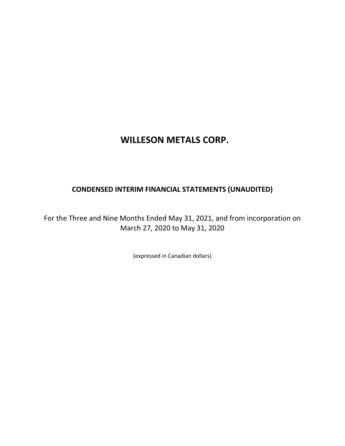# **WILLESON METALS CORP.**

# **CONDENSED INTERIM FINANCIAL STATEMENTS (UNAUDITED)**

For the Three and Nine Months Ended May 31, 2021, and from incorporation on March 27, 2020 to May 31, 2020

(expressed in Canadian dollars)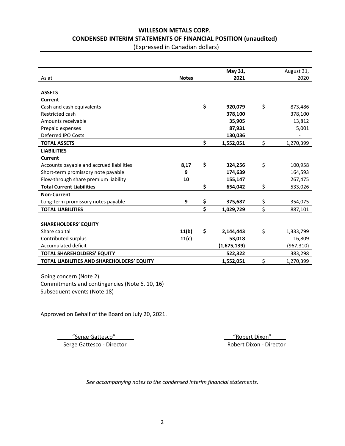# **WILLESON METALS CORP. CONDENSED INTERIM STATEMENTS OF FINANCIAL POSITION (unaudited)**

(Expressed in Canadian dollars)

|                                            |              | May 31,         | August 31,      |
|--------------------------------------------|--------------|-----------------|-----------------|
| As at                                      | <b>Notes</b> | 2021            | 2020            |
|                                            |              |                 |                 |
| <b>ASSETS</b>                              |              |                 |                 |
| Current                                    |              |                 |                 |
| Cash and cash equivalents                  |              | \$<br>920.079   | \$<br>873,486   |
| Restricted cash                            |              | 378,100         | 378,100         |
| Amounts receivable                         |              | 35,905          | 13,812          |
| Prepaid expenses                           |              | 87,931          | 5,001           |
| Deferred IPO Costs                         |              | 130,036         |                 |
| <b>TOTAL ASSETS</b>                        |              | \$<br>1,552,051 | \$<br>1,270,399 |
| <b>LIABILITIES</b>                         |              |                 |                 |
| <b>Current</b>                             |              |                 |                 |
| Accounts payable and accrued liabilities   | 8,17         | \$<br>324,256   | \$<br>100,958   |
| Short-term promissory note payable         | 9            | 174,639         | 164,593         |
| Flow-through share premium liability       | 10           | 155,147         | 267,475         |
| <b>Total Current Liabilities</b>           |              | \$<br>654,042   | \$<br>533,026   |
| <b>Non-Current</b>                         |              |                 |                 |
| Long-term promissory notes payable         | 9            | \$<br>375,687   | \$<br>354,075   |
| <b>TOTAL LIABILITIES</b>                   |              | \$<br>1,029,729 | \$<br>887,101   |
|                                            |              |                 |                 |
| <b>SHAREHOLDERS' EQUITY</b>                |              |                 |                 |
| Share capital                              | 11(b)        | \$<br>2,144,443 | \$<br>1,333,799 |
| Contributed surplus                        | 11(c)        | 53,018          | 16,809          |
| Accumulated deficit                        |              | (1,675,139)     | (967, 310)      |
| <b>TOTAL SHAREHOLDERS' EQUITY</b>          |              | 522,322         | 383,298         |
| TOTAL LIABILITIES AND SHAREHOLDERS' EQUITY |              | 1,552,051       | \$<br>1,270,399 |

Going concern (Note 2) Commitments and contingencies (Note 6, 10, 16) Subsequent events (Note 18)

Approved on Behalf of the Board on July 20, 2021.

 \_ \_\_"Serge Gattesco" \_\_ \_\_\_"Robert Dixon" \_\_\_ Serge Gattesco - Director **Robert Dixon - Director** Robert Dixon - Director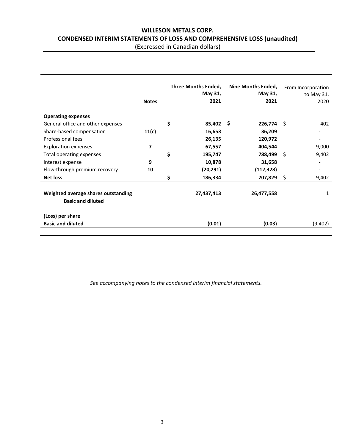# **WILLESON METALS CORP. CONDENSED INTERIM STATEMENTS OF LOSS AND COMPREHENSIVE LOSS (unaudited)**

(Expressed in Canadian dollars)

|                                                                 | <b>Notes</b> | <b>Three Months Ended,</b><br>May 31,<br>2021 | Nine Months Ended,<br>May 31,<br>2021 |      | From Incorporation<br>to May 31,<br>2020 |
|-----------------------------------------------------------------|--------------|-----------------------------------------------|---------------------------------------|------|------------------------------------------|
|                                                                 |              |                                               |                                       |      |                                          |
| <b>Operating expenses</b>                                       |              |                                               |                                       |      |                                          |
| General office and other expenses                               |              | \$<br>85,402                                  | \$<br>226,774                         | - \$ | 402                                      |
| Share-based compensation                                        | 11(c)        | 16,653                                        | 36,209                                |      |                                          |
| Professional fees                                               |              | 26,135                                        | 120,972                               |      |                                          |
| <b>Exploration expenses</b>                                     | 7            | 67,557                                        | 404,544                               |      | 9,000                                    |
| Total operating expenses                                        |              | \$<br>195,747                                 | 788,499                               | Ŝ.   | 9,402                                    |
| Interest expense                                                | 9            | 10,878                                        | 31,658                                |      |                                          |
| Flow-through premium recovery                                   | 10           | (20,291)                                      | (112, 328)                            |      |                                          |
| <b>Net loss</b>                                                 |              | \$<br>186,334                                 | 707,829                               | \$   | 9,402                                    |
| Weighted average shares outstanding<br><b>Basic and diluted</b> |              | 27,437,413                                    | 26,477,558                            |      | 1                                        |
| (Loss) per share                                                |              |                                               |                                       |      |                                          |
| <b>Basic and diluted</b>                                        |              | (0.01)                                        | (0.03)                                |      | (9,402)                                  |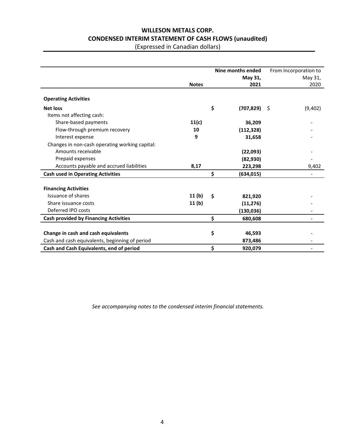# **WILLESON METALS CORP. CONDENSED INTERIM STATEMENT OF CASH FLOWS (unaudited)**

(Expressed in Canadian dollars)

|                                                |              | Nine months ended     | From Incorporation to |
|------------------------------------------------|--------------|-----------------------|-----------------------|
|                                                |              | May 31,               | May 31,               |
|                                                | <b>Notes</b> | 2021                  | 2020                  |
| <b>Operating Activities</b>                    |              |                       |                       |
| <b>Net loss</b>                                |              | \$<br>$(707, 829)$ \$ | (9,402)               |
| Items not affecting cash:                      |              |                       |                       |
| Share-based payments                           | 11(c)        | 36,209                |                       |
| Flow-through premium recovery                  | 10           | (112, 328)            |                       |
| Interest expense                               | 9            | 31,658                |                       |
| Changes in non-cash operating working capital: |              |                       |                       |
| Amounts receivable                             |              | (22,093)              |                       |
| Prepaid expenses                               |              | (82, 930)             |                       |
| Accounts payable and accrued liabilities       | 8,17         | 223,298               | 9,402                 |
| <b>Cash used in Operating Activities</b>       |              | \$<br>(634, 015)      |                       |
| <b>Financing Activities</b>                    |              |                       |                       |
| Issuance of shares                             | 11(b)        | \$<br>821,920         |                       |
| Share issuance costs                           | 11(b)        | (11, 276)             |                       |
| Deferred IPO costs                             |              | (130, 036)            |                       |
| <b>Cash provided by Financing Activities</b>   |              | \$<br>680,608         |                       |
|                                                |              |                       |                       |
| Change in cash and cash equivalents            |              | \$<br>46,593          |                       |
| Cash and cash equivalents, beginning of period |              | 873,486               |                       |
| Cash and Cash Equivalents, end of period       |              | \$<br>920,079         |                       |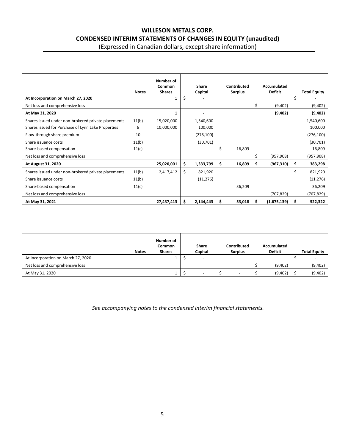# **WILLESON METALS CORP. CONDENSED INTERIM STATEMENTS OF CHANGES IN EQUITY (unaudited)**

(Expressed in Canadian dollars, except share information)

|                                                     |              | Number of               |                         |     |                               |   |                               |    |                     |
|-----------------------------------------------------|--------------|-------------------------|-------------------------|-----|-------------------------------|---|-------------------------------|----|---------------------|
|                                                     | <b>Notes</b> | Common<br><b>Shares</b> | <b>Share</b><br>Capital |     | Contributed<br><b>Surplus</b> |   | Accumulated<br><b>Deficit</b> |    | <b>Total Equity</b> |
| At Incorporation on March 27, 2020                  |              |                         | \$                      |     |                               |   |                               | \$ |                     |
| Net loss and comprehensive loss                     |              |                         |                         |     |                               | S | (9,402)                       |    | (9,402)             |
| At May 31, 2020                                     |              |                         |                         |     |                               |   | (9,402)                       |    | (9,402)             |
| Shares issued under non-brokered private placements | 11(b)        | 15,020,000              | 1,540,600               |     |                               |   |                               |    | 1,540,600           |
| Shares issued for Purchase of Lynn Lake Properties  | 6            | 10,000,000              | 100,000                 |     |                               |   |                               |    | 100,000             |
| Flow-through share premium                          | 10           |                         | (276, 100)              |     |                               |   |                               |    | (276, 100)          |
| Share issuance costs                                | 11(b)        |                         | (30, 701)               |     |                               |   |                               |    | (30, 701)           |
| Share-based compensation                            | 11(c)        |                         |                         | \$  | 16,809                        |   |                               |    | 16,809              |
| Net loss and comprehensive loss                     |              |                         |                         |     |                               | Ś | (957, 908)                    |    | (957, 908)          |
| At August 31, 2020                                  |              | 25,020,001              | \$<br>1,333,799         | \$  | 16,809                        | s | (967, 310)                    | s  | 383,298             |
| Shares issued under non-brokered private placements | 11(b)        | 2,417,412               | \$<br>821,920           |     |                               |   |                               | \$ | 821,920             |
| Share issuance costs                                | 11(b)        |                         | (11, 276)               |     |                               |   |                               |    | (11, 276)           |
| Share-based compensation                            | 11(c)        |                         |                         |     | 36,209                        |   |                               |    | 36,209              |
| Net loss and comprehensive loss                     |              |                         |                         |     |                               |   | (707, 829)                    |    | (707, 829)          |
| At May 31, 2021                                     |              | 27,437,413              | \$<br>2,144,443         | \$. | 53,018                        | s | (1,675,139)                   | Ś  | 522,322             |

|                                    | <b>Notes</b> | Number of<br><b>Common</b><br><b>Shares</b> | Share<br>Capital         | Contributed<br><b>Surplus</b> | Accumulated<br><b>Deficit</b> | <b>Total Equity</b> |
|------------------------------------|--------------|---------------------------------------------|--------------------------|-------------------------------|-------------------------------|---------------------|
| At Incorporation on March 27, 2020 |              | ÷.                                          | $\overline{\phantom{a}}$ |                               |                               |                     |
| Net loss and comprehensive loss    |              |                                             |                          |                               | (9,402)                       | (9,402)             |
| At May 31, 2020                    |              |                                             | $\overline{\phantom{0}}$ |                               | (9,402)                       | (9,402)             |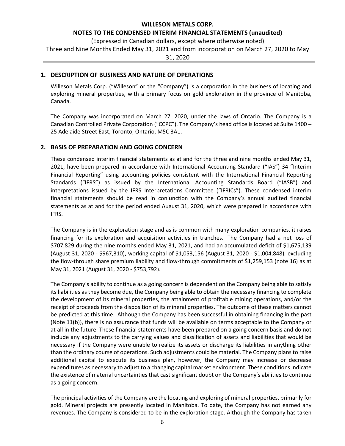#### **WILLESON METALS CORP.**

#### **NOTES TO THE CONDENSED INTERIM FINANCIAL STATEMENTS (unaudited)**

(Expressed in Canadian dollars, except where otherwise noted) Three and Nine Months Ended May 31, 2021 and from incorporation on March 27, 2020 to May 31, 2020

#### **1. DESCRIPTION OF BUSINESS AND NATURE OF OPERATIONS**

Willeson Metals Corp. ("Willeson" or the "Company") is a corporation in the business of locating and exploring mineral properties, with a primary focus on gold exploration in the province of Manitoba, Canada.

The Company was incorporated on March 27, 2020, under the laws of Ontario. The Company is a Canadian Controlled Private Corporation ("CCPC"). The Company's head office is located at Suite 1400 – 25 Adelaide Street East, Toronto, Ontario, M5C 3A1.

#### **2. BASIS OF PREPARATION AND GOING CONCERN**

These condensed interim financial statements as at and for the three and nine months ended May 31, 2021, have been prepared in accordance with International Accounting Standard ("IAS") 34 "Interim Financial Reporting" using accounting policies consistent with the International Financial Reporting Standards ("IFRS") as issued by the International Accounting Standards Board ("IASB") and interpretations issued by the IFRS Interpretations Committee ("IFRICs"). These condensed interim financial statements should be read in conjunction with the Company's annual audited financial statements as at and for the period ended August 31, 2020, which were prepared in accordance with IFRS.

The Company is in the exploration stage and as is common with many exploration companies, it raises financing for its exploration and acquisition activities in tranches. The Company had a net loss of \$707,829 during the nine months ended May 31, 2021, and had an accumulated deficit of \$1,675,139 (August 31, 2020 - \$967,310), working capital of \$1,053,156 (August 31, 2020 - \$1,004,848), excluding the flow-through share premium liability and flow-through commitments of \$1,259,153 (note 16) as at May 31, 2021 (August 31, 2020 - \$753,792).

The Company's ability to continue as a going concern is dependent on the Company being able to satisfy its liabilities as they become due, the Company being able to obtain the necessary financing to complete the development of its mineral properties, the attainment of profitable mining operations, and/or the receipt of proceeds from the disposition of its mineral properties. The outcome of these matters cannot be predicted at this time. Although the Company has been successful in obtaining financing in the past (Note 11(b)), there is no assurance that funds will be available on terms acceptable to the Company or at all in the future. These financial statements have been prepared on a going concern basis and do not include any adjustments to the carrying values and classification of assets and liabilities that would be necessary if the Company were unable to realize its assets or discharge its liabilities in anything other than the ordinary course of operations. Such adjustments could be material. The Company plans to raise additional capital to execute its business plan, however, the Company may increase or decrease expenditures as necessary to adjust to a changing capital market environment. These conditions indicate the existence of material uncertainties that cast significant doubt on the Company's abilities to continue as a going concern.

The principal activities of the Company are the locating and exploring of mineral properties, primarily for gold. Mineral projects are presently located in Manitoba. To date, the Company has not earned any revenues. The Company is considered to be in the exploration stage. Although the Company has taken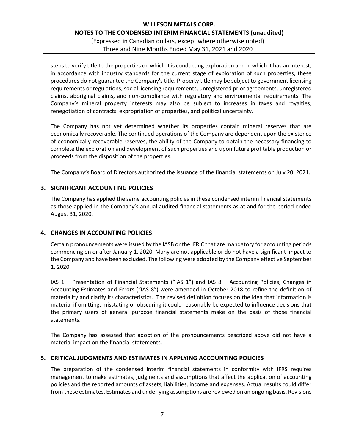steps to verify title to the properties on which it is conducting exploration and in which it has an interest, in accordance with industry standards for the current stage of exploration of such properties, these procedures do not guarantee the Company's title. Property title may be subject to government licensing requirements or regulations, social licensing requirements, unregistered prior agreements, unregistered claims, aboriginal claims, and non-compliance with regulatory and environmental requirements. The Company's mineral property interests may also be subject to increases in taxes and royalties, renegotiation of contracts, expropriation of properties, and political uncertainty.

The Company has not yet determined whether its properties contain mineral reserves that are economically recoverable. The continued operations of the Company are dependent upon the existence of economically recoverable reserves, the ability of the Company to obtain the necessary financing to complete the exploration and development of such properties and upon future profitable production or proceeds from the disposition of the properties.

The Company's Board of Directors authorized the issuance of the financial statements on July 20, 2021.

### **3. SIGNIFICANT ACCOUNTING POLICIES**

The Company has applied the same accounting policies in these condensed interim financial statements as those applied in the Company's annual audited financial statements as at and for the period ended August 31, 2020.

### **4. CHANGES IN ACCOUNTING POLICIES**

Certain pronouncements were issued by the IASB or the IFRIC that are mandatory for accounting periods commencing on or after January 1, 2020. Many are not applicable or do not have a significant impact to the Company and have been excluded. The following were adopted by the Company effective September 1, 2020.

IAS 1 – Presentation of Financial Statements ("IAS 1") and IAS 8 – Accounting Policies, Changes in Accounting Estimates and Errors ("IAS 8") were amended in October 2018 to refine the definition of materiality and clarify its characteristics. The revised definition focuses on the idea that information is material if omitting, misstating or obscuring it could reasonably be expected to influence decisions that the primary users of general purpose financial statements make on the basis of those financial statements.

The Company has assessed that adoption of the pronouncements described above did not have a material impact on the financial statements.

### **5. CRITICAL JUDGMENTS AND ESTIMATES IN APPLYING ACCOUNTING POLICIES**

The preparation of the condensed interim financial statements in conformity with IFRS requires management to make estimates, judgments and assumptions that affect the application of accounting policies and the reported amounts of assets, liabilities, income and expenses. Actual results could differ from these estimates. Estimates and underlying assumptions are reviewed on an ongoing basis. Revisions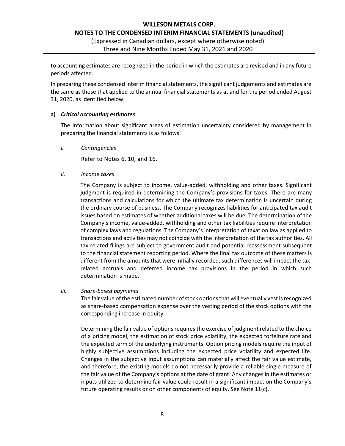to accounting estimates are recognized in the period in which the estimates are revised and in any future periods affected.

In preparing these condensed interim financial statements, the significant judgements and estimates are the same as those that applied to the annual financial statements as at and for the period ended August 31, 2020, as identified below.

#### **a)** *Critical accounting estimates*

The information about significant areas of estimation uncertainty considered by management in preparing the financial statements is as follows:

*i. Contingencies*

Refer to Notes 6, 10, and 16.

#### *ii. Income taxes*

The Company is subject to income, value-added, withholding and other taxes. Significant judgment is required in determining the Company's provisions for taxes. There are many transactions and calculations for which the ultimate tax determination is uncertain during the ordinary course of business. The Company recognizes liabilities for anticipated tax audit issues based on estimates of whether additional taxes will be due. The determination of the Company's income, value-added, withholding and other tax liabilities require interpretation of complex laws and regulations. The Company's interpretation of taxation law as applied to transactions and activities may not coincide with the interpretation of the tax authorities. All tax-related filings are subject to government audit and potential reassessment subsequent to the financial statement reporting period. Where the final tax outcome of these matters is different from the amounts that were initially recorded, such differences will impact the taxrelated accruals and deferred income tax provisions in the period in which such determination is made.

#### *iii. Share-based payments*

The fair value of the estimated number of stock options that will eventually vest is recognized as share-based compensation expense over the vesting period of the stock options with the corresponding increase in equity.

Determining the fair value of options requires the exercise of judgment related to the choice of a pricing model, the estimation of stock price volatility, the expected forfeiture rate and the expected term of the underlying instruments. Option pricing models require the input of highly subjective assumptions including the expected price volatility and expected life. Changes in the subjective input assumptions can materially affect the fair value estimate, and therefore, the existing models do not necessarily provide a reliable single measure of the fair value of the Company's options at the date of grant. Any changes in the estimates or inputs utilized to determine fair value could result in a significant impact on the Company's future operating results or on other components of equity. See Note 11(c).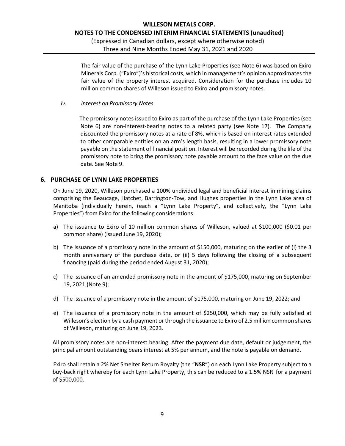### **WILLESON METALS CORP. NOTES TO THE CONDENSED INTERIM FINANCIAL STATEMENTS (unaudited)** (Expressed in Canadian dollars, except where otherwise noted)

Three and Nine Months Ended May 31, 2021 and 2020

The fair value of the purchase of the Lynn Lake Properties (see Note 6) was based on Exiro Minerals Corp. ("Exiro")'s historical costs, which in management's opinion approximates the fair value of the property interest acquired. Consideration for the purchase includes 10 million common shares of Willeson issued to Exiro and promissory notes.

*iv. Interest on Promissory Notes* 

The promissory notes issued to Exiro as part of the purchase of the Lynn Lake Properties (see Note 6) are non-interest-bearing notes to a related party (see Note 17). The Company discounted the promissory notes at a rate of 8%, which is based on interest rates extended to other comparable entities on an arm's length basis, resulting in a lower promissory note payable on the statement of financial position. Interest will be recorded during the life of the promissory note to bring the promissory note payable amount to the face value on the due date. See Note 9.

### **6. PURCHASE OF LYNN LAKE PROPERTIES**

On June 19, 2020, Willeson purchased a 100% undivided legal and beneficial interest in mining claims comprising the Beaucage, Hatchet, Barrington-Tow, and Hughes properties in the Lynn Lake area of Manitoba (individually herein, (each a "Lynn Lake Property", and collectively, the "Lynn Lake Properties") from Exiro for the following considerations:

- a) The issuance to Exiro of 10 million common shares of Willeson, valued at \$100,000 (\$0.01 per common share) (issued June 19, 2020);
- b) The issuance of a promissory note in the amount of \$150,000, maturing on the earlier of (i) the 3 month anniversary of the purchase date, or (ii) 5 days following the closing of a subsequent financing (paid during the period ended August 31, 2020);
- c) The issuance of an amended promissory note in the amount of \$175,000, maturing on September 19, 2021 (Note 9);
- d) The issuance of a promissory note in the amount of \$175,000, maturing on June 19, 2022; and
- e) The issuance of a promissory note in the amount of \$250,000, which may be fully satisfied at Willeson's election by a cash payment or through the issuance to Exiro of 2.5 million common shares of Willeson, maturing on June 19, 2023.

All promissory notes are non-interest bearing. After the payment due date, default or judgement, the principal amount outstanding bears interest at 5% per annum, and the note is payable on demand.

Exiro shall retain a 2% Net Smelter Return Royalty (the "**NSR**") on each Lynn Lake Property subject to a buy-back right whereby for each Lynn Lake Property, this can be reduced to a 1.5% NSR for a payment of \$500,000.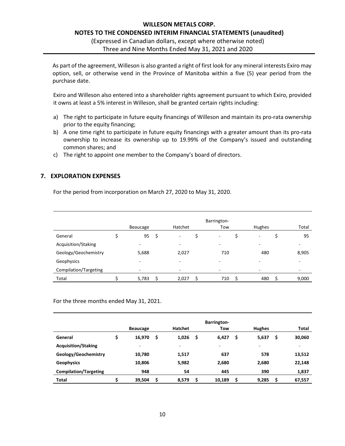# **WILLESON METALS CORP. NOTES TO THE CONDENSED INTERIM FINANCIAL STATEMENTS (unaudited)** (Expressed in Canadian dollars, except where otherwise noted)

Three and Nine Months Ended May 31, 2021 and 2020

As part of the agreement, Willeson is also granted a right of first look for any mineral interests Exiro may option, sell, or otherwise vend in the Province of Manitoba within a five (5) year period from the purchase date.

Exiro and Willeson also entered into a shareholder rights agreement pursuant to which Exiro, provided it owns at least a 5% interest in Willeson, shall be granted certain rights including:

- a) The right to participate in future equity financings of Willeson and maintain its pro-rata ownership prior to the equity financing;
- b) A one time right to participate in future equity financings with a greater amount than its pro-rata ownership to increase its ownership up to 19.99% of the Company's issued and outstanding common shares; and
- c) The right to appoint one member to the Company's board of directors.

### **7. EXPLORATION EXPENSES**

For the period from incorporation on March 27, 2020 to May 31, 2020.

|                       | Beaucage   | Hatchet                  | Barrington-<br>Tow | Hughes   | Total |
|-----------------------|------------|--------------------------|--------------------|----------|-------|
| General               | 95<br>\$   | ٠                        | -                  | ۰        | 95    |
| Acquisition/Staking   | -          | $\overline{\phantom{a}}$ | -                  | ۰        | -     |
| Geology/Geochemistry  | 5,688      | 2,027                    | 710                | 480      | 8,905 |
| Geophysics            | -          | $\overline{\phantom{0}}$ | -                  | ۰        |       |
| Compilation/Targeting | -          | -                        |                    | ۰        |       |
| Total                 | 5,783<br>Ś | 2,027                    | 710<br>-S          | 480<br>S | 9,000 |

For the three months ended May 31, 2021.

|                              | <b>Barrington-</b>       |     |                |   |        |   |               |    |        |
|------------------------------|--------------------------|-----|----------------|---|--------|---|---------------|----|--------|
|                              | <b>Beaucage</b>          |     | <b>Hatchet</b> |   | Tow    |   | <b>Hughes</b> |    | Total  |
| General                      | \$<br>16,970             | \$. | 1,026          | S | 6,427  | S | 5,637         | \$ | 30,060 |
| <b>Acquisition/Staking</b>   | $\overline{\phantom{0}}$ |     | -              |   | -      |   | ۰             |    | ٠      |
| Geology/Geochemistry         | 10,780                   |     | 1,517          |   | 637    |   | 578           |    | 13,512 |
| <b>Geophysics</b>            | 10,806                   |     | 5,982          |   | 2,680  |   | 2,680         |    | 22,148 |
| <b>Compilation/Targeting</b> | 948                      |     | 54             |   | 445    |   | 390           |    | 1,837  |
| Total                        | 39,504                   | Ś   | 8,579          |   | 10,189 |   | 9,285         | S  | 67,557 |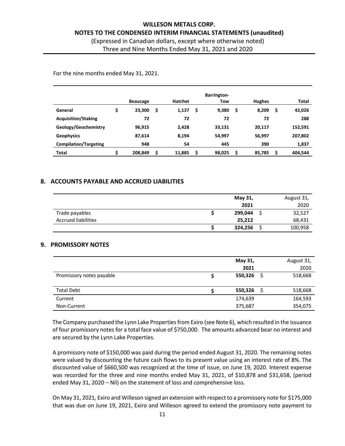# **WILLESON METALS CORP. NOTES TO THE CONDENSED INTERIM FINANCIAL STATEMENTS (unaudited)** (Expressed in Canadian dollars, except where otherwise noted)

Three and Nine Months Ended May 31, 2021 and 2020

For the nine months ended May 31, 2021.

|                              |    | <b>Beaucage</b> |    | <b>Hatchet</b> |    | <b>Barrington-</b><br>Tow |   | <b>Hughes</b> |    | Total   |
|------------------------------|----|-----------------|----|----------------|----|---------------------------|---|---------------|----|---------|
| General                      | \$ | 23,300          | \$ | 1,137          | \$ | 9,380                     | S | 8,209         | \$ | 42,026  |
| <b>Acquisition/Staking</b>   |    | 72              |    | 72             |    | 72                        |   | 72            |    | 288     |
| Geology/Geochemistry         |    | 96,915          |    | 2,428          |    | 33,131                    |   | 20,117        |    | 152,591 |
| <b>Geophysics</b>            |    | 87,614          |    | 8,194          |    | 54,997                    |   | 56,997        |    | 207,802 |
| <b>Compilation/Targeting</b> |    | 948             |    | 54             |    | 445                       |   | 390           |    | 1,837   |
| Total                        | S  | 208,849         | Ś  | 11,885         | Ś  | 98,025                    |   | 85,785        | Ŝ  | 404,544 |

### **8. ACCOUNTS PAYABLE AND ACCRUED LIABILITIES**

|                            | May 31, | August 31, |
|----------------------------|---------|------------|
|                            | 2021    | 2020       |
| Trade payables             | 299,044 | 32,527     |
| <b>Accrued liabilities</b> | 25,212  | 68,431     |
|                            | 324,256 | 100,958    |

#### **9. PROMISSORY NOTES**

|                          | May 31, |          | August 31, |
|--------------------------|---------|----------|------------|
|                          | 2021    |          | 2020       |
| Promissory notes payable | 550,326 | -S       | 518,668    |
|                          |         |          |            |
| <b>Total Debt</b>        | 550,326 | <b>S</b> | 518,668    |
| Current                  | 174,639 |          | 164,593    |
| Non-Current              | 375,687 |          | 354,075    |

The Company purchased the Lynn Lake Properties from Exiro (see Note 6), which resulted in the issuance of four promissory notes for a total face value of \$750,000. The amounts advanced bear no interest and are secured by the Lynn Lake Properties.

A promissory note of \$150,000 was paid during the period ended August 31, 2020. The remaining notes were valued by discounting the future cash flows to its present value using an interest rate of 8%. The discounted value of \$660,500 was recognized at the time of issue, on June 19, 2020. Interest expense was recorded for the three and nine months ended May 31, 2021, of \$10,878 and \$31,658, (period ended May 31, 2020 – Nil) on the statement of loss and comprehensive loss.

On May 31, 2021, Exiro and Willeson signed an extension with respect to a promissory note for \$175,000 that was due on June 19, 2021, Exiro and Willeson agreed to extend the promissory note payment to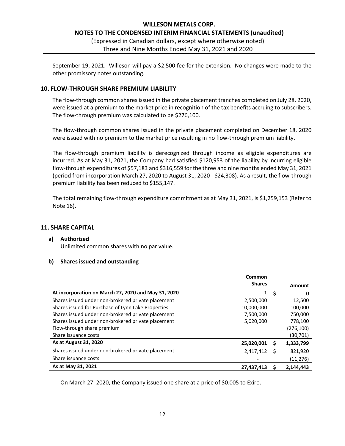September 19, 2021. Willeson will pay a \$2,500 fee for the extension. No changes were made to the other promissory notes outstanding.

#### **10. FLOW-THROUGH SHARE PREMIUM LIABILITY**

The flow-through common shares issued in the private placement tranches completed on July 28, 2020, were issued at a premium to the market price in recognition of the tax benefits accruing to subscribers. The flow-through premium was calculated to be \$276,100.

The flow-through common shares issued in the private placement completed on December 18, 2020 were issued with no premium to the market price resulting in no flow-through premium liability.

The flow-through premium liability is derecognized through income as eligible expenditures are incurred. As at May 31, 2021, the Company had satisfied \$120,953 of the liability by incurring eligible flow-through expenditures of \$57,183 and \$316,559 for the three and nine months ended May 31, 2021 (period from incorporation March 27, 2020 to August 31, 2020 - \$24,308). As a result, the flow-through premium liability has been reduced to \$155,147.

The total remaining flow-through expenditure commitment as at May 31, 2021, is \$1,259,153 (Refer to Note 16).

#### **11. SHARE CAPITAL**

#### **a) Authorized**

Unlimited common shares with no par value.

#### **b) Shares issued and outstanding**

|                                                     | Common        |   |            |
|-----------------------------------------------------|---------------|---|------------|
|                                                     | <b>Shares</b> |   | Amount     |
| At incorporation on March 27, 2020 and May 31, 2020 | 1             | Ŝ | 0          |
| Shares issued under non-brokered private placement  | 2,500,000     |   | 12,500     |
| Shares issued for Purchase of Lynn Lake Properties  | 10,000,000    |   | 100,000    |
| Shares issued under non-brokered private placement  | 7,500,000     |   | 750,000    |
| Shares issued under non-brokered private placement  | 5,020,000     |   | 778,100    |
| Flow-through share premium                          |               |   | (276, 100) |
| Share issuance costs                                |               |   | (30,701)   |
| As at August 31, 2020                               | 25,020,001    | s | 1,333,799  |
| Shares issued under non-brokered private placement  | 2,417,412     | S | 821,920    |
| Share issuance costs                                |               |   | (11,276)   |
| As at May 31, 2021                                  | 27,437,413    |   | 2,144,443  |

On March 27, 2020, the Company issued one share at a price of \$0.005 to Exiro.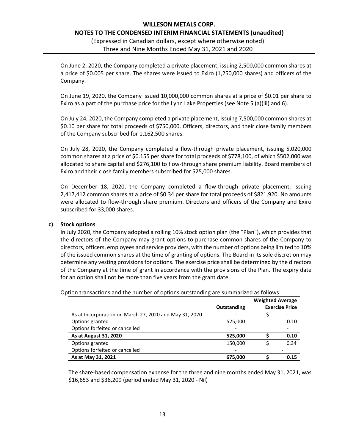On June 2, 2020, the Company completed a private placement, issuing 2,500,000 common shares at a price of \$0.005 per share. The shares were issued to Exiro (1,250,000 shares) and officers of the Company.

On June 19, 2020, the Company issued 10,000,000 common shares at a price of \$0.01 per share to Exiro as a part of the purchase price for the Lynn Lake Properties (see Note 5 (a)(iii) and 6).

On July 24, 2020, the Company completed a private placement, issuing 7,500,000 common shares at \$0.10 per share for total proceeds of \$750,000. Officers, directors, and their close family members of the Company subscribed for 1,162,500 shares.

On July 28, 2020, the Company completed a flow-through private placement, issuing 5,020,000 common shares at a price of \$0.155 per share for total proceeds of \$778,100, of which \$502,000 was allocated to share capital and \$276,100 to flow-through share premium liability. Board members of Exiro and their close family members subscribed for 525,000 shares.

On December 18, 2020, the Company completed a flow-through private placement, issuing 2,417,412 common shares at a price of \$0.34 per share for total proceeds of \$821,920. No amounts were allocated to flow-through share premium. Directors and officers of the Company and Exiro subscribed for 33,000 shares.

#### **c) Stock options**

In July 2020, the Company adopted a rolling 10% stock option plan (the "Plan"), which provides that the directors of the Company may grant options to purchase common shares of the Company to directors, officers, employees and service providers, with the number of options being limited to 10% of the issued common shares at the time of granting of options. The Board in its sole discretion may determine any vesting provisions for options. The exercise price shall be determined by the directors of the Company at the time of grant in accordance with the provisions of the Plan. The expiry date for an option shall not be more than five years from the grant date.

|                                                        |             | <b>Weighted Average</b> |                       |
|--------------------------------------------------------|-------------|-------------------------|-----------------------|
|                                                        | Outstanding |                         | <b>Exercise Price</b> |
| As at Incorporation on March 27, 2020 and May 31, 2020 |             |                         |                       |
| Options granted                                        | 525,000     |                         | 0.10                  |
| Options forfeited or cancelled                         |             |                         |                       |
| As at August 31, 2020                                  | 525,000     |                         | 0.10                  |
| Options granted                                        | 150,000     |                         | 0.34                  |
| Options forfeited or cancelled                         |             |                         |                       |
| As at May 31, 2021                                     | 675,000     |                         | 0.15                  |

Option transactions and the number of options outstanding are summarized as follows:

The share-based compensation expense for the three and nine months ended May 31, 2021, was \$16,653 and \$36,209 (period ended May 31, 2020 - Nil)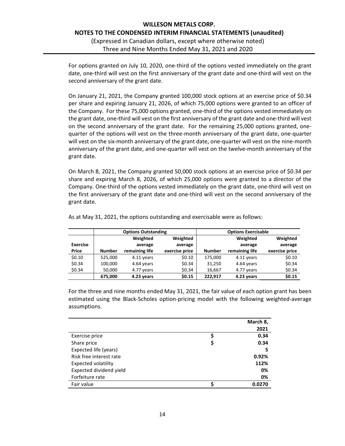For options granted on July 10, 2020, one-third of the options vested immediately on the grant date, one-third will vest on the first anniversary of the grant date and one-third will vest on the second anniversary of the grant date.

On January 21, 2021, the Company granted 100,000 stock options at an exercise price of \$0.34 per share and expiring January 21, 2026, of which 75,000 options were granted to an officer of the Company. For these 75,000 options granted, one-third of the options vested immediately on the grant date, one-third will vest on the first anniversary of the grant date and one-third will vest on the second anniversary of the grant date. For the remaining 25,000 options granted, onequarter of the options will vest on the three-month anniversary of the grant date, one-quarter will vest on the six-month anniversary of the grant date, one-quarter will vest on the nine-month anniversary of the grant date, and one-quarter will vest on the twelve-month anniversary of the grant date.

On March 8, 2021, the Company granted 50,000 stock options at an exercise price of \$0.34 per share and expiring March 8, 2026, of which 25,000 options were granted to a director of the Company. One-third of the options vested immediately on the grant date, one-third will vest on the first anniversary of the grant date and one-third will vest on the second anniversary of the grant date.

|                 | <b>Options Outstanding</b> |                |                | <b>Options Exercisable</b> |                |                |  |  |
|-----------------|----------------------------|----------------|----------------|----------------------------|----------------|----------------|--|--|
|                 |                            | Weighted       | Weighted       |                            | Weighted       | Weighted       |  |  |
| <b>Exercise</b> |                            | average        | average        |                            | average        | average        |  |  |
| Price           | <b>Number</b>              | remaining life | exercise price | <b>Number</b>              | remaining life | exercise price |  |  |
| \$0.10          | 525.000                    | 4.11 years     | \$0.10         | 175.000                    | 4.11 years     | \$0.10         |  |  |
| \$0.34          | 100,000                    | 4.64 years     | \$0.34         | 31,250                     | 4.64 years     | \$0.34         |  |  |
| \$0.34          | 50,000                     | 4.77 years     | \$0.34         | 16,667                     | 4.77 years     | \$0.34         |  |  |
|                 | 675,000                    | 4.23 years     | \$0.15         | 222.917                    | 4.23 years     | \$0.15         |  |  |

As at May 31, 2021, the options outstanding and exercisable were as follows:

For the three and nine months ended May 31, 2021, the fair value of each option grant has been estimated using the Black-Scholes option-pricing model with the following weighted-average assumptions.

|                         |   | March 8, |
|-------------------------|---|----------|
|                         |   | 2021     |
| Exercise price          |   | 0.34     |
| Share price             | Ş | 0.34     |
| Expected life (years)   |   | 5        |
| Risk free interest rate |   | 0.92%    |
| Expected volatility     |   | 112%     |
| Expected dividend yield |   | 0%       |
| Forfeiture rate         |   | 0%       |
| Fair value              |   | 0.0270   |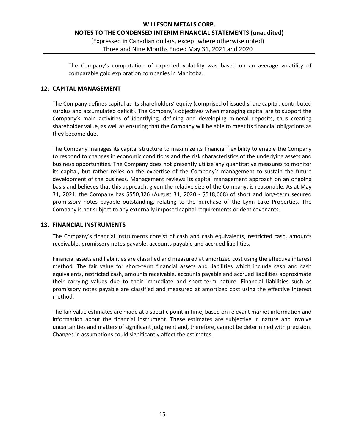The Company's computation of expected volatility was based on an average volatility of comparable gold exploration companies in Manitoba.

#### **12. CAPITAL MANAGEMENT**

The Company defines capital as its shareholders' equity (comprised of issued share capital, contributed surplus and accumulated deficit). The Company's objectives when managing capital are to support the Company's main activities of identifying, defining and developing mineral deposits, thus creating shareholder value, as well as ensuring that the Company will be able to meet its financial obligations as they become due.

The Company manages its capital structure to maximize its financial flexibility to enable the Company to respond to changes in economic conditions and the risk characteristics of the underlying assets and business opportunities. The Company does not presently utilize any quantitative measures to monitor its capital, but rather relies on the expertise of the Company's management to sustain the future development of the business. Management reviews its capital management approach on an ongoing basis and believes that this approach, given the relative size of the Company, is reasonable. As at May 31, 2021, the Company has \$550,326 (August 31, 2020 - \$518,668) of short and long-term secured promissory notes payable outstanding, relating to the purchase of the Lynn Lake Properties. The Company is not subject to any externally imposed capital requirements or debt covenants.

#### **13. FINANCIAL INSTRUMENTS**

The Company's financial instruments consist of cash and cash equivalents, restricted cash, amounts receivable, promissory notes payable, accounts payable and accrued liabilities.

Financial assets and liabilities are classified and measured at amortized cost using the effective interest method. The fair value for short-term financial assets and liabilities which include cash and cash equivalents, restricted cash, amounts receivable, accounts payable and accrued liabilities approximate their carrying values due to their immediate and short-term nature. Financial liabilities such as promissory notes payable are classified and measured at amortized cost using the effective interest method.

The fair value estimates are made at a specific point in time, based on relevant market information and information about the financial instrument. These estimates are subjective in nature and involve uncertainties and matters of significant judgment and, therefore, cannot be determined with precision. Changes in assumptions could significantly affect the estimates.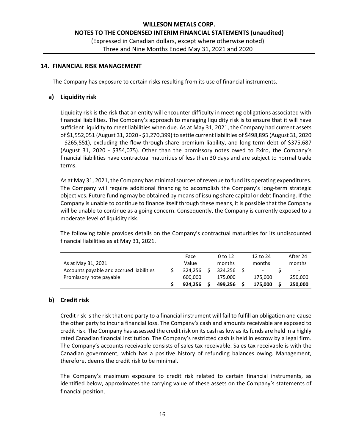#### **14. FINANCIAL RISK MANAGEMENT**

The Company has exposure to certain risks resulting from its use of financial instruments.

#### **a) Liquidity risk**

Liquidity risk is the risk that an entity will encounter difficulty in meeting obligations associated with financial liabilities. The Company's approach to managing liquidity risk is to ensure that it will have sufficient liquidity to meet liabilities when due. As at May 31, 2021, the Company had current assets of \$1,552,051 (August 31, 2020 - \$1,270,399) to settle current liabilities of \$498,895 (August 31, 2020 - \$265,551), excluding the flow-through share premium liability, and long-term debt of \$375,687 (August 31, 2020 - \$354,075). Other than the promissory notes owed to Exiro, the Company's financial liabilities have contractual maturities of less than 30 days and are subject to normal trade terms.

As at May 31, 2021, the Company has minimal sources of revenue to fund its operating expenditures. The Company will require additional financing to accomplish the Company's long-term strategic objectives. Future funding may be obtained by means of issuing share capital or debt financing. If the Company is unable to continue to finance itself through these means, it is possible that the Company will be unable to continue as a going concern. Consequently, the Company is currently exposed to a moderate level of liquidity risk.

The following table provides details on the Company's contractual maturities for its undiscounted financial liabilities as at May 31, 2021.

|                                          |         | Face    |         | 0 to 12 | 12 to 24 | After 24 |
|------------------------------------------|---------|---------|---------|---------|----------|----------|
| As at May 31, 2021                       |         | Value   |         | months  | months   | months   |
| Accounts payable and accrued liabilities |         | 324.256 |         | 324.256 | -        | -        |
| Promissory note payable                  | 600.000 |         | 175.000 | 175.000 | 250,000  |          |
|                                          |         | 924.256 |         | 499.256 | 175.000  | 250.000  |

#### **b) Credit risk**

Credit risk is the risk that one party to a financial instrument will fail to fulfill an obligation and cause the other party to incur a financial loss. The Company's cash and amounts receivable are exposed to credit risk. The Company has assessed the credit risk on its cash as low as its funds are held in a highly rated Canadian financial institution. The Company's restricted cash is held in escrow by a legal firm. The Company's accounts receivable consists of sales tax receivable. Sales tax receivable is with the Canadian government, which has a positive history of refunding balances owing. Management, therefore, deems the credit risk to be minimal.

The Company's maximum exposure to credit risk related to certain financial instruments, as identified below, approximates the carrying value of these assets on the Company's statements of financial position.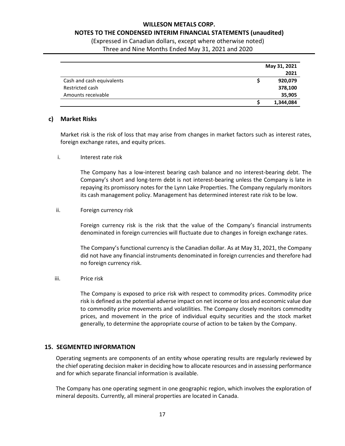### **WILLESON METALS CORP. NOTES TO THE CONDENSED INTERIM FINANCIAL STATEMENTS (unaudited)**

(Expressed in Canadian dollars, except where otherwise noted)

Three and Nine Months Ended May 31, 2021 and 2020

|                           | May 31, 2021 |  |
|---------------------------|--------------|--|
|                           | 2021         |  |
| Cash and cash equivalents | 920,079      |  |
| Restricted cash           | 378,100      |  |
| Amounts receivable        | 35,905       |  |
|                           | 1,344,084    |  |

### **c) Market Risks**

Market risk is the risk of loss that may arise from changes in market factors such as interest rates, foreign exchange rates, and equity prices.

#### i. Interest rate risk

The Company has a low-interest bearing cash balance and no interest-bearing debt. The Company's short and long-term debt is not interest-bearing unless the Company is late in repaying its promissory notes for the Lynn Lake Properties. The Company regularly monitors its cash management policy. Management has determined interest rate risk to be low.

### ii. Foreign currency risk

Foreign currency risk is the risk that the value of the Company's financial instruments denominated in foreign currencies will fluctuate due to changes in foreign exchange rates.

The Company's functional currency is the Canadian dollar. As at May 31, 2021, the Company did not have any financial instruments denominated in foreign currencies and therefore had no foreign currency risk.

### iii. Price risk

The Company is exposed to price risk with respect to commodity prices. Commodity price risk is defined as the potential adverse impact on net income or loss and economic value due to commodity price movements and volatilities. The Company closely monitors commodity prices, and movement in the price of individual equity securities and the stock market generally, to determine the appropriate course of action to be taken by the Company.

### **15. SEGMENTED INFORMATION**

Operating segments are components of an entity whose operating results are regularly reviewed by the chief operating decision maker in deciding how to allocate resources and in assessing performance and for which separate financial information is available.

The Company has one operating segment in one geographic region, which involves the exploration of mineral deposits. Currently, all mineral properties are located in Canada.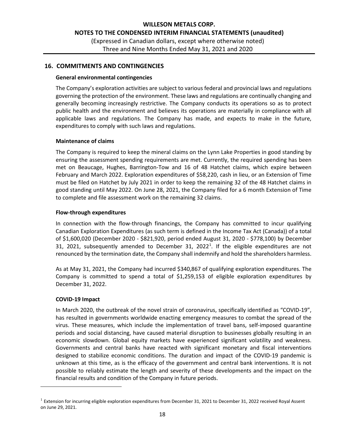### **16. COMMITMENTS AND CONTINGENCIES**

#### **General environmental contingencies**

The Company's exploration activities are subject to various federal and provincial laws and regulations governing the protection of the environment. These laws and regulations are continually changing and generally becoming increasingly restrictive. The Company conducts its operations so as to protect public health and the environment and believes its operations are materially in compliance with all applicable laws and regulations. The Company has made, and expects to make in the future, expenditures to comply with such laws and regulations.

#### **Maintenance of claims**

The Company is required to keep the mineral claims on the Lynn Lake Properties in good standing by ensuring the assessment spending requirements are met. Currently, the required spending has been met on Beaucage, Hughes, Barrington-Tow and 16 of 48 Hatchet claims, which expire between February and March 2022. Exploration expenditures of \$58,220, cash in lieu, or an Extension of Time must be filed on Hatchet by July 2021 in order to keep the remaining 32 of the 48 Hatchet claims in good standing until May 2022. On June 28, 2021, the Company filed for a 6 month Extension of Time to complete and file assessment work on the remaining 32 claims.

#### **Flow-through expenditures**

In connection with the flow-through financings, the Company has committed to incur qualifying Canadian Exploration Expenditures (as such term is defined in the Income Tax Act (Canada)) of a total of \$1,600,020 (December 2020 - \$821,920, period ended August 31, 2020 - \$778,100) by December 3[1](#page-17-0), 2021, subsequently amended to December 31, 2022<sup>1</sup>. If the eligible expenditures are not renounced by the termination date, the Company shall indemnify and hold the shareholders harmless.

As at May 31, 2021, the Company had incurred \$340,867 of qualifying exploration expenditures. The Company is committed to spend a total of \$1,259,153 of eligible exploration expenditures by December 31, 2022.

#### **COVID-19 Impact**

In March 2020, the outbreak of the novel strain of coronavirus, specifically identified as "COVID-19", has resulted in governments worldwide enacting emergency measures to combat the spread of the virus. These measures, which include the implementation of travel bans, self-imposed quarantine periods and social distancing, have caused material disruption to businesses globally resulting in an economic slowdown. Global equity markets have experienced significant volatility and weakness. Governments and central banks have reacted with significant monetary and fiscal interventions designed to stabilize economic conditions. The duration and impact of the COVID-19 pandemic is unknown at this time, as is the efficacy of the government and central bank interventions. It is not possible to reliably estimate the length and severity of these developments and the impact on the financial results and condition of the Company in future periods.

<span id="page-17-0"></span> $1$  Extension for incurring eligible exploration expenditures from December 31, 2021 to December 31, 2022 received Royal Assent on June 29, 2021.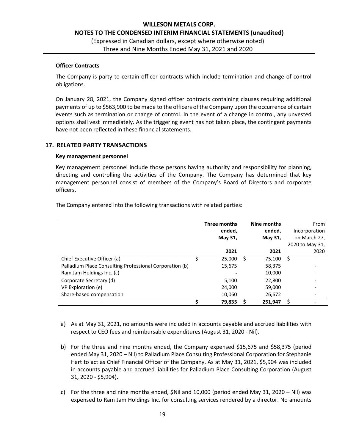#### **Officer Contracts**

The Company is party to certain officer contracts which include termination and change of control obligations.

On January 28, 2021, the Company signed officer contracts containing clauses requiring additional payments of up to \$563,900 to be made to the officers of the Company upon the occurrence of certain events such as termination or change of control. In the event of a change in control, any unvested options shall vest immediately. As the triggering event has not taken place, the contingent payments have not been reflected in these financial statements.

### **17. RELATED PARTY TRANSACTIONS**

#### **Key management personnel**

Key management personnel include those persons having authority and responsibility for planning, directing and controlling the activities of the Company. The Company has determined that key management personnel consist of members of the Company's Board of Directors and corporate officers.

|                                                         |    | Three months<br>ended,<br>May 31, |   | Nine months<br>ended,<br>May 31, |     | From<br>Incorporation<br>on March 27, |
|---------------------------------------------------------|----|-----------------------------------|---|----------------------------------|-----|---------------------------------------|
|                                                         |    | 2021                              |   | 2021                             |     | 2020 to May 31,<br>2020               |
| Chief Executive Officer (a)                             | \$ | 25,000                            | S | 75,100                           | -\$ |                                       |
| Palladium Place Consulting Professional Corporation (b) |    | 15,675                            |   | 58,375                           |     |                                       |
| Ram Jam Holdings Inc. (c)                               |    |                                   |   | 10,000                           |     |                                       |
| Corporate Secretary (d)                                 |    | 5,100                             |   | 22,800                           |     |                                       |
| VP Exploration (e)                                      |    | 24,000                            |   | 59,000                           |     |                                       |
| Share-based compensation                                |    | 10,060                            |   | 26,672                           |     |                                       |
|                                                         | ς  | 79,835                            | S | 251,947                          | \$  |                                       |

The Company entered into the following transactions with related parties:

- a) As at May 31, 2021, no amounts were included in accounts payable and accrued liabilities with respect to CEO fees and reimbursable expenditures (August 31, 2020 - Nil).
- b) For the three and nine months ended, the Company expensed \$15,675 and \$58,375 (period ended May 31, 2020 – Nil) to Palladium Place Consulting Professional Corporation for Stephanie Hart to act as Chief Financial Officer of the Company. As at May 31, 2021, \$5,904 was included in accounts payable and accrued liabilities for Palladium Place Consulting Corporation (August 31, 2020 - \$5,904).
- c) For the three and nine months ended, \$Nil and 10,000 (period ended May 31, 2020 Nil) was expensed to Ram Jam Holdings Inc. for consulting services rendered by a director. No amounts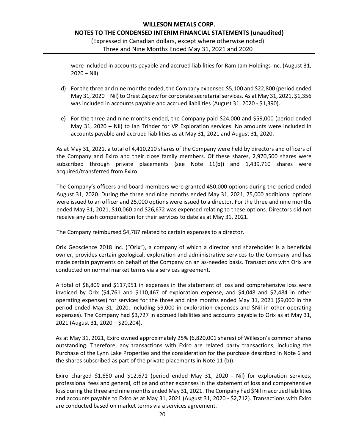were included in accounts payable and accrued liabilities for Ram Jam Holdings Inc. (August 31,  $2020 - Nil$ ).

- d) For the three and nine months ended, the Company expensed \$5,100 and \$22,800 (period ended May 31, 2020 – Nil) to Orest Zajcew for corporate secretarial services. As at May 31, 2021, \$1,356 was included in accounts payable and accrued liabilities (August 31, 2020 - \$1,390).
- e) For the three and nine months ended, the Company paid \$24,000 and \$59,000 (period ended May 31, 2020 – Nil) to Ian Trinder for VP Exploration services. No amounts were included in accounts payable and accrued liabilities as at May 31, 2021 and August 31, 2020.

As at May 31, 2021, a total of 4,410,210 shares of the Company were held by directors and officers of the Company and Exiro and their close family members. Of these shares, 2,970,500 shares were subscribed through private placements (see Note 11(b)) and 1,439,710 shares were acquired/transferred from Exiro.

The Company's officers and board members were granted 450,000 options during the period ended August 31, 2020. During the three and nine months ended May 31, 2021, 75,000 additional options were issued to an officer and 25,000 options were issued to a director. For the three and nine months ended May 31, 2021, \$10,060 and \$26,672 was expensed relating to these options. Directors did not receive any cash compensation for their services to date as at May 31, 2021.

The Company reimbursed \$4,787 related to certain expenses to a director.

Orix Geoscience 2018 Inc. ("Orix"), a company of which a director and shareholder is a beneficial owner, provides certain geological, exploration and administrative services to the Company and has made certain payments on behalf of the Company on an as-needed basis. Transactions with Orix are conducted on normal market terms via a services agreement.

A total of \$8,809 and \$117,951 in expenses in the statement of loss and comprehensive loss were invoiced by Orix (\$4,761 and \$110,467 of exploration expense, and \$4,048 and \$7,484 in other operating expenses) for services for the three and nine months ended May 31, 2021 (\$9,000 in the period ended May 31, 2020, including \$9,000 in exploration expenses and \$Nil in other operating expenses). The Company had \$3,727 in accrued liabilities and accounts payable to Orix as at May 31, 2021 (August 31, 2020 – \$20,204).

As at May 31, 2021, Exiro owned approximately 25% (6,820,001 shares) of Willeson's common shares outstanding. Therefore, any transactions with Exiro are related party transactions, including the Purchase of the Lynn Lake Properties and the consideration for the purchase described in Note 6 and the shares subscribed as part of the private placements in Note 11 (b)).

Exiro charged \$1,650 and \$12,671 (period ended May 31, 2020 - Nil) for exploration services, professional fees and general, office and other expenses in the statement of loss and comprehensive loss during the three and nine months ended May 31, 2021. The Company had \$Nil in accrued liabilities and accounts payable to Exiro as at May 31, 2021 (August 31, 2020 - \$2,712). Transactions with Exiro are conducted based on market terms via a services agreement.